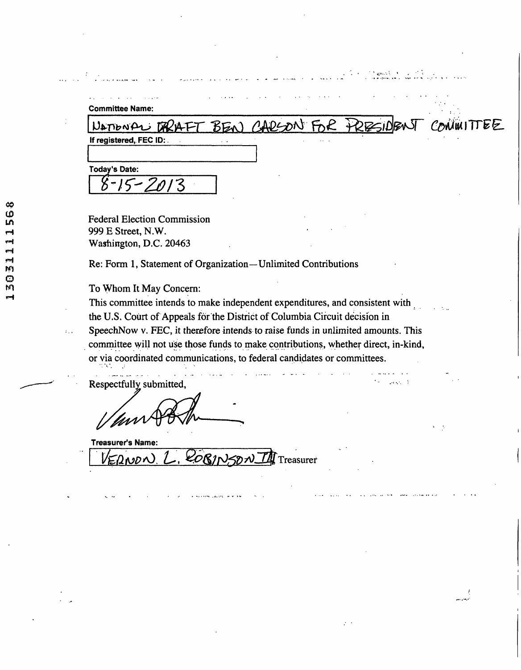| <b>Committee Name:</b><br>NATIONAL                                                                                                                                                                                                                                                                                                                                                                                                                      | BEN)                                                          | CARSON FOR TRESIDEN | CONINITTEE |
|---------------------------------------------------------------------------------------------------------------------------------------------------------------------------------------------------------------------------------------------------------------------------------------------------------------------------------------------------------------------------------------------------------------------------------------------------------|---------------------------------------------------------------|---------------------|------------|
| If registered, FEC ID:                                                                                                                                                                                                                                                                                                                                                                                                                                  |                                                               |                     |            |
|                                                                                                                                                                                                                                                                                                                                                                                                                                                         |                                                               |                     |            |
| <b>Today's Date:</b>                                                                                                                                                                                                                                                                                                                                                                                                                                    |                                                               |                     |            |
|                                                                                                                                                                                                                                                                                                                                                                                                                                                         |                                                               |                     |            |
|                                                                                                                                                                                                                                                                                                                                                                                                                                                         |                                                               |                     |            |
| <b>Federal Election Commission</b>                                                                                                                                                                                                                                                                                                                                                                                                                      |                                                               |                     |            |
| 999 E Street, N.W.                                                                                                                                                                                                                                                                                                                                                                                                                                      |                                                               |                     |            |
| Washington, D.C. 20463                                                                                                                                                                                                                                                                                                                                                                                                                                  |                                                               |                     |            |
|                                                                                                                                                                                                                                                                                                                                                                                                                                                         | Re: Form 1, Statement of Organization—Unlimited Contributions |                     |            |
|                                                                                                                                                                                                                                                                                                                                                                                                                                                         |                                                               |                     |            |
|                                                                                                                                                                                                                                                                                                                                                                                                                                                         |                                                               |                     |            |
|                                                                                                                                                                                                                                                                                                                                                                                                                                                         |                                                               |                     |            |
|                                                                                                                                                                                                                                                                                                                                                                                                                                                         |                                                               |                     |            |
|                                                                                                                                                                                                                                                                                                                                                                                                                                                         |                                                               |                     |            |
|                                                                                                                                                                                                                                                                                                                                                                                                                                                         |                                                               |                     |            |
|                                                                                                                                                                                                                                                                                                                                                                                                                                                         |                                                               |                     |            |
| To Whom It May Concern:<br>This committee intends to make independent expenditures, and consistent with<br>the U.S. Court of Appeals for the District of Columbia Circuit decision in<br>SpeechNow v. FEC, it therefore intends to raise funds in unlimited amounts. This<br>committee will not use those funds to make contributions, whether direct, in-kind,<br>or via coordinated communications, to federal candidates or committees.<br>n tin i p |                                                               |                     |            |
| Respectfully submitted,                                                                                                                                                                                                                                                                                                                                                                                                                                 |                                                               |                     |            |
|                                                                                                                                                                                                                                                                                                                                                                                                                                                         |                                                               |                     |            |
|                                                                                                                                                                                                                                                                                                                                                                                                                                                         |                                                               |                     |            |
|                                                                                                                                                                                                                                                                                                                                                                                                                                                         |                                                               |                     | - 3        |
| <b>Treasurer's Name:</b>                                                                                                                                                                                                                                                                                                                                                                                                                                |                                                               |                     |            |
| ERNON L                                                                                                                                                                                                                                                                                                                                                                                                                                                 | $QOS/N$ $\mathcal{D}$ $\mathcal{D}$ Treasurer                 |                     |            |
|                                                                                                                                                                                                                                                                                                                                                                                                                                                         |                                                               |                     |            |
|                                                                                                                                                                                                                                                                                                                                                                                                                                                         |                                                               |                     |            |

أويسو وبسر

 $\mathcal{L}^{\pm}$  .

**CO**  *m*  **rHI**  *m o m*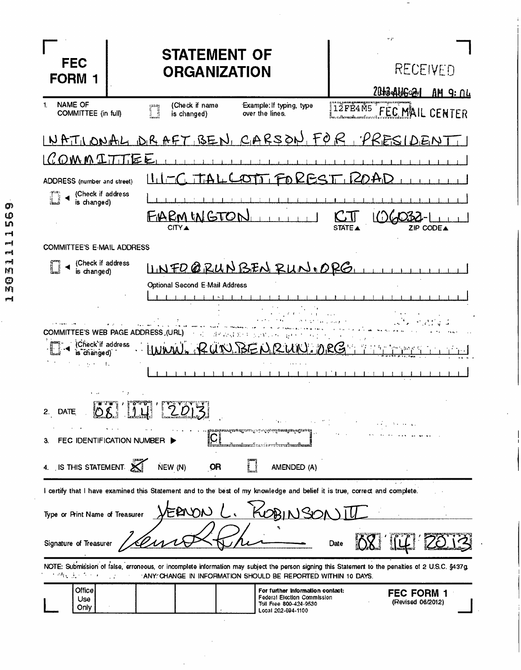| <b>FEC</b><br><b>FORM</b>                                                                             | <b>STATEMENT OF</b><br><b>ORGANIZATION</b>                                                                                                                                                                        | $\mathbf{r} \cdot \mathbf{p}$<br>RECEIVED<br>20H34AU602M<br>AM 9: 04 |
|-------------------------------------------------------------------------------------------------------|-------------------------------------------------------------------------------------------------------------------------------------------------------------------------------------------------------------------|----------------------------------------------------------------------|
| <b>NAME OF</b><br>1.<br>COMMITTEE (in full)                                                           | (Check if name<br>Example: If typing, type<br>n<br>is changed)<br>over the lines.                                                                                                                                 | 12FE4M5 FEC MAIL CENTER                                              |
|                                                                                                       | NATIONAL DRAFT BEN, CARSON, FOR, PRESIDENT                                                                                                                                                                        |                                                                      |
| OMMIT                                                                                                 | 医巨                                                                                                                                                                                                                |                                                                      |
| ADDRESS (number and street)                                                                           | $  \,   \,   \,   -  $<br>TT FOKES<br><b>Carolina Ad</b>                                                                                                                                                          | 1 Z                                                                  |
| (Check if address<br>is changed)                                                                      |                                                                                                                                                                                                                   |                                                                      |
|                                                                                                       | IARM IN GTON<br><b>CITY ▲</b>                                                                                                                                                                                     | ZIP CODEA<br>STATE <sup>A</sup>                                      |
| <b>COMMITTEE'S E-MAIL ADDRESS</b>                                                                     |                                                                                                                                                                                                                   |                                                                      |
| (Check if address<br>is changed)                                                                      | UNFO@RUNBENRUN.ORG                                                                                                                                                                                                |                                                                      |
|                                                                                                       | <b>Optional Second E-Mail Address</b>                                                                                                                                                                             |                                                                      |
| <b>COMMITTEE'S WEB PAGE ADDRESS, (URL)</b><br>(Check if address<br>is changed)<br>$\mu = 0.005$<br>÷. | さくある あいしゃ といい<br>BENRUN. DRG                                                                                                                                                                                      |                                                                      |
| DATE<br><b>:∴∡بان</b><br>FEC IDENTIFICATION NUMBER                                                    | <b>Location Control of the Act of the United States</b><br>. Lee exile e<br>രാ <del>യിൽ തൊരിക്കുകയി.</del> കാലും 15 ലി. ലി. മാ<br>promagnemegine.                                                                 |                                                                      |
| IS THIS STATEMENT $\mathbb{\mathbb{X}}$                                                               | NEW (N)<br>OR<br>AMENDED (A)                                                                                                                                                                                      |                                                                      |
|                                                                                                       | I certify that I have examined this Statement and to the best of my knowledge and belief it is true, correct and complete.                                                                                        |                                                                      |
| Type or Print Name of Treasurer                                                                       |                                                                                                                                                                                                                   |                                                                      |
| Signature of Treasurer                                                                                |                                                                                                                                                                                                                   | Date                                                                 |
| 网络蛋白蛋白                                                                                                | NOTE: Submission of false, erroneous, or incomplete information may subject the person signing this Statement to the penalties of 2 U.S.C. §437g.<br>ANY CHANGE IN INFORMATION SHOULD BE REPORTED WITHIN 10 DAYS. |                                                                      |
| Office<br>Use<br>Only                                                                                 | For further information contact:<br><b>Federal Election Commission</b><br>Toll Free 800-424-9530<br>Local 202-694-1100                                                                                            | <b>FEC FORM 1</b><br>(Revised 06/2012)                               |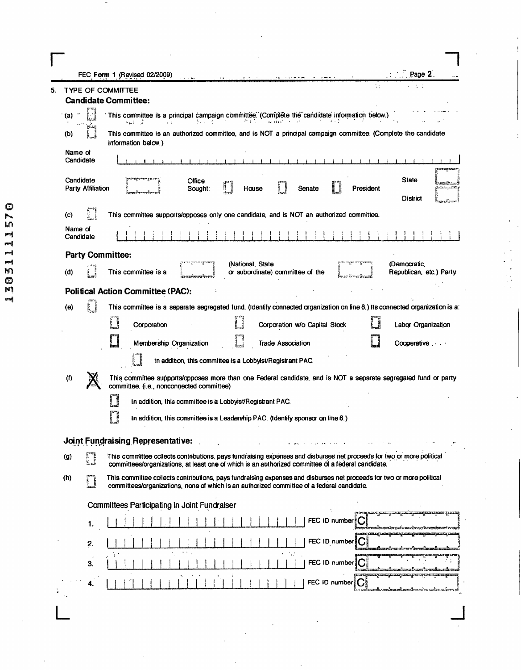|    |                                | Page 2<br>FEC Form 1 (Revised 02/2009)                                                                                                                                                                                      |
|----|--------------------------------|-----------------------------------------------------------------------------------------------------------------------------------------------------------------------------------------------------------------------------|
| 5. |                                | W.<br><b>TYPE OF COMMITTEE</b><br><b>Candidate Committee:</b>                                                                                                                                                               |
|    | (a)                            | This committee is a principal campaign committee. (Complete the candidate information below.)<br>the control<br>クモン<br>te (1940) control<br>and and<br>$1/2$                                                                |
|    | gius;<br>(b)                   | This committee is an authorized committee, and is NOT a principal campaign committee. (Complete the candidate<br>information below.)                                                                                        |
|    | Name of<br>Candidate           |                                                                                                                                                                                                                             |
|    | Candidate<br>Party Affiliation | <b>State</b><br>Office<br>r<br>nammali.<br>Senate<br>President<br>Sought:<br>House<br><b>District</b>                                                                                                                       |
|    | (c)                            | This committee supports/opposes only one candidate, and is NOT an authorized committee.                                                                                                                                     |
|    | Name of<br>Candidate           |                                                                                                                                                                                                                             |
|    |                                | <b>Party Committee:</b>                                                                                                                                                                                                     |
|    | (d)                            | (National, State<br>(Democratic,<br>This committee is a<br>or subordinate) committee of the<br>Republican, etc.) Party.                                                                                                     |
|    |                                | <b>Political Action Committee (PAC):</b>                                                                                                                                                                                    |
|    | (e)                            | This committee is a separate segregated fund. (Identify connected organization on line 6.) Its connected organization is a:                                                                                                 |
|    |                                | i<br>Li<br>Corporation<br>Corporation w/o Capital Stock<br>Labor Organization                                                                                                                                               |
|    |                                | Membership Organization<br><b>Trade Association</b><br>Cooperative                                                                                                                                                          |
|    |                                | In addition, this committee is a Lobbyist/Registrant PAC.                                                                                                                                                                   |
|    | (1)                            | This committee supports/opposes more than one Federal candidate, and is NOT a separate segregated fund or party<br>committee. (i.e., nonconnected committee)                                                                |
|    |                                | In addition, this committee is a Lobbyist/Registrant PAC.                                                                                                                                                                   |
|    |                                | In addition, this committee is a Leadership PAC. (Identify sponsor on line 6.)                                                                                                                                              |
|    |                                | Joint Fundraising Representative:                                                                                                                                                                                           |
|    | H<br>$\left( 0 \right)$        | This committee collects contributions, pays fundraising expenses and disburses net proceeds for two or more political<br>committees/organizations, at least one of which is an authorized committee of a federal candidate. |
|    | (h)                            | This committee collects contributions, pays fundraising expenses and disburses net proceeds for two or more political<br>committees/organizations, none of which is an authorized committee of a federal candidate.         |
|    |                                | Committees Participating in Joint Fundraiser                                                                                                                                                                                |
|    |                                | FEC ID number   C                                                                                                                                                                                                           |
|    | 2.                             | FEC ID number $ C $                                                                                                                                                                                                         |
|    | З.                             | FEC ID number<br>aitriche aluncher beskausbens                                                                                                                                                                              |
|    | 4.                             | FEC ID number C<br>းေပးနပ္ပါးေသးနဲ႔ေတာ္ေတာ္အေမာင္မ်ိဳးသတင္မ်ားကေရ                                                                                                                                                           |
|    |                                |                                                                                                                                                                                                                             |
|    |                                |                                                                                                                                                                                                                             |

Γ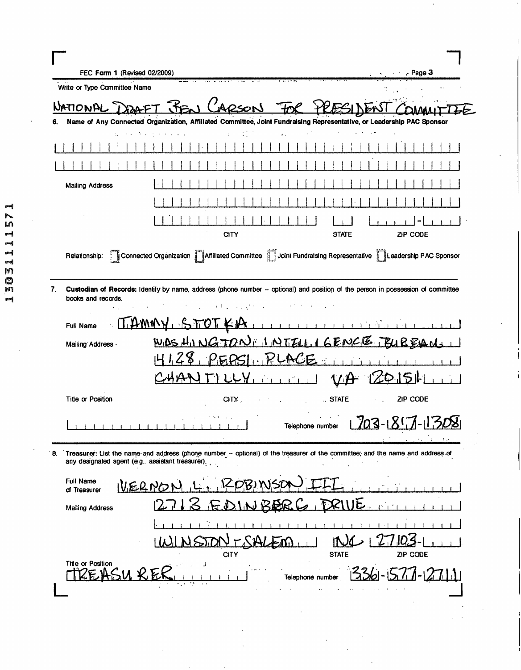| FEC Form 1 (Revised 02/2009)     |                                                                                                                                                                                       | $\cdots$ Page 3                              |
|----------------------------------|---------------------------------------------------------------------------------------------------------------------------------------------------------------------------------------|----------------------------------------------|
| Write or Type Committee Name     |                                                                                                                                                                                       |                                              |
| NATIONAL                         | 2sor                                                                                                                                                                                  |                                              |
| 6.                               | Name of Any Connected Organization, Affiliated Committee, Joint Fundraising Representative, or Leadership PAC Sponsor                                                                 |                                              |
|                                  | $\ddot{\cdot}$ .                                                                                                                                                                      |                                              |
|                                  |                                                                                                                                                                                       |                                              |
| <b>Mailing Address</b>           |                                                                                                                                                                                       |                                              |
|                                  |                                                                                                                                                                                       |                                              |
|                                  | <b>CITY</b>                                                                                                                                                                           | ZIP CODE<br><b>STATE</b>                     |
| Relationship:                    | Connected Organization   Affiliated Committee   Joint Fundraising Representative   Leadership PAC Sponsor                                                                             |                                              |
| 7.<br>books and records.         | Custodian of Records: Identify by name, address (phone number -- optional) and position of the person in possession of committee<br>and the company of the                            |                                              |
| <b>Full Name</b>                 | <u>T.AMALY</u>                                                                                                                                                                        |                                              |
| Mailing Address -                | WOSHINGTON INTELLIGENCE FUREAUS                                                                                                                                                       |                                              |
|                                  | PEPSI PLACE.<br>ზ,                                                                                                                                                                    |                                              |
|                                  | $\mathbf{1}$ $\mathbf{1}$ $\mathbf{1}$                                                                                                                                                |                                              |
| <b>Title or Position</b>         | $C\Gamma Y$ , and $\Gamma$                                                                                                                                                            | STATE<br>ZIP CODE                            |
|                                  |                                                                                                                                                                                       | 703-1857-152<br>Telephone number<br>A.       |
|                                  | 8. Treasurer: List the name and address (phone number - optional) of the treasurer of the committee; and the name and address of<br>any designated agent (e.g., assistant treasurer). |                                              |
| <b>Full Name</b><br>of Treasurer | UERNO                                                                                                                                                                                 |                                              |
| <b>Mailing Address</b>           |                                                                                                                                                                                       | d.                                           |
|                                  |                                                                                                                                                                                       |                                              |
| Title or Position                | <b>CITY</b>                                                                                                                                                                           | ZIP CODE<br><b>STATE</b><br>Telephone number |

13031111571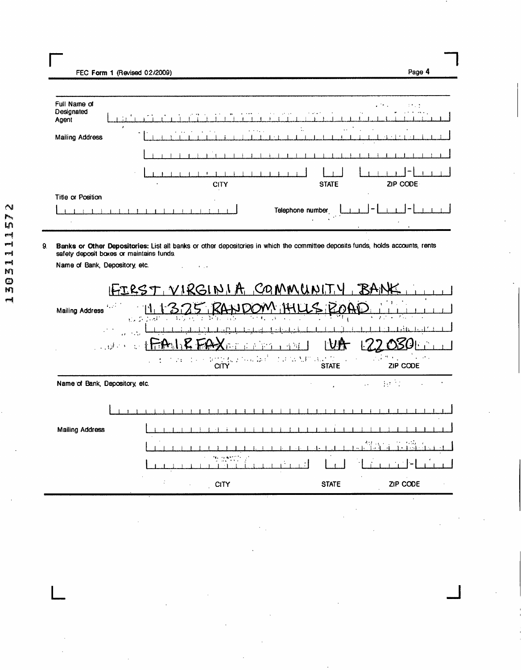| Full Name of<br>Designated<br>Agent |   |             |   |  |  |              |  |  |  |                  |                        | $\sim$ 100 $\mu$ |              |                                           |               |        |                  | $\mathcal{L}^{\text{max}}$ |  |          | <b>STA2</b> | $\sigma$ , and $\sigma$ , and $\sigma$ |  |
|-------------------------------------|---|-------------|---|--|--|--------------|--|--|--|------------------|------------------------|------------------|--------------|-------------------------------------------|---------------|--------|------------------|----------------------------|--|----------|-------------|----------------------------------------|--|
|                                     | , |             |   |  |  |              |  |  |  |                  | $\bullet$<br>$\ddotsc$ |                  |              |                                           | $\sim$ $\sim$ |        |                  |                            |  | ٠        |             |                                        |  |
| <b>Mailing Address</b>              |   | $\sim$ $-1$ |   |  |  |              |  |  |  |                  |                        |                  |              |                                           |               | $\sim$ | $\sim$ 100 $\pm$ |                            |  |          |             |                                        |  |
|                                     |   |             |   |  |  |              |  |  |  |                  |                        |                  |              |                                           |               |        |                  |                            |  |          |             |                                        |  |
|                                     |   | $\sim$      |   |  |  |              |  |  |  |                  |                        |                  |              |                                           |               |        |                  |                            |  |          |             |                                        |  |
|                                     |   |             | ٠ |  |  | <b>CITY</b>  |  |  |  |                  |                        |                  | <b>STATE</b> |                                           |               |        |                  |                            |  | ZIP CODE |             |                                        |  |
| Title or Position                   |   |             |   |  |  | $\mathbf{r}$ |  |  |  |                  |                        |                  |              |                                           |               |        |                  |                            |  |          |             |                                        |  |
| $\cdot$                             |   |             |   |  |  |              |  |  |  | Telephone number |                        |                  |              | $\mathcal{L}^{(k)}$ , $\mathcal{L}^{(k)}$ |               |        |                  |                            |  |          |             |                                        |  |

Page 4

## 9. Banks or Other Depositories: List all banks or other depositories in which the committee deposits funds, holds accounts, rents safety deposit boxes or maintains funds.

| $\mathbb{F}_2$ , $\mathbb{F}_2$ ,<br><b>Mailing Address</b><br>$\sim 10$<br>دی او د فون د ا | 机空调机 网络化 |             | FIRST, VIRGINIA, COMMUNITY<br>ANDOM HUS R<br>$\label{eq:1} \mathcal{L}=\mathbf{f}^{(n-1)}\mathcal{L}\mathbf{f}^{(n-1)}\mathcal{L}^{(n-1)}\mathcal{L}^{(n-1)}\mathcal{U}^{(n)}\mathcal{U}^{(n)}\mathcal{U}^{(n)}\mathcal{U}^{(n-1)}\mathcal{U}^{(n)}\mathcal{U}^{(n)}\mathcal{U}^{(n)}\mathcal{U}^{(n)}\mathcal{U}^{(n-1)}\mathcal{U}^{(n-1)}\mathcal{U}^{(n-1)}\mathcal{U}^{(n-1)}\mathcal{U}^{(n-1)}\mathcal{U}^{(n-1)}$ |              | $\mathbf{v}=(\mathbf{y}_1,\mathbf{y}_2,\ldots,\mathbf{y}_n)$<br>$\sim 1000$<br>ZIP CODE |
|---------------------------------------------------------------------------------------------|----------|-------------|---------------------------------------------------------------------------------------------------------------------------------------------------------------------------------------------------------------------------------------------------------------------------------------------------------------------------------------------------------------------------------------------------------------------------|--------------|-----------------------------------------------------------------------------------------|
| Name of Bank, Depository, etc.                                                              |          |             |                                                                                                                                                                                                                                                                                                                                                                                                                           |              | $\mathcal{L}=\{1,2,\ldots\}$<br>$\sim$                                                  |
|                                                                                             |          |             |                                                                                                                                                                                                                                                                                                                                                                                                                           |              |                                                                                         |
| Mailing Address                                                                             |          |             |                                                                                                                                                                                                                                                                                                                                                                                                                           |              |                                                                                         |
|                                                                                             |          |             |                                                                                                                                                                                                                                                                                                                                                                                                                           |              |                                                                                         |
|                                                                                             |          |             |                                                                                                                                                                                                                                                                                                                                                                                                                           |              |                                                                                         |
|                                                                                             |          | <b>CITY</b> |                                                                                                                                                                                                                                                                                                                                                                                                                           | <b>STATE</b> | ZIP CODE                                                                                |

Name of Bank, Depository, etc.  $\sim$  $\epsilon$  ,  $\epsilon$